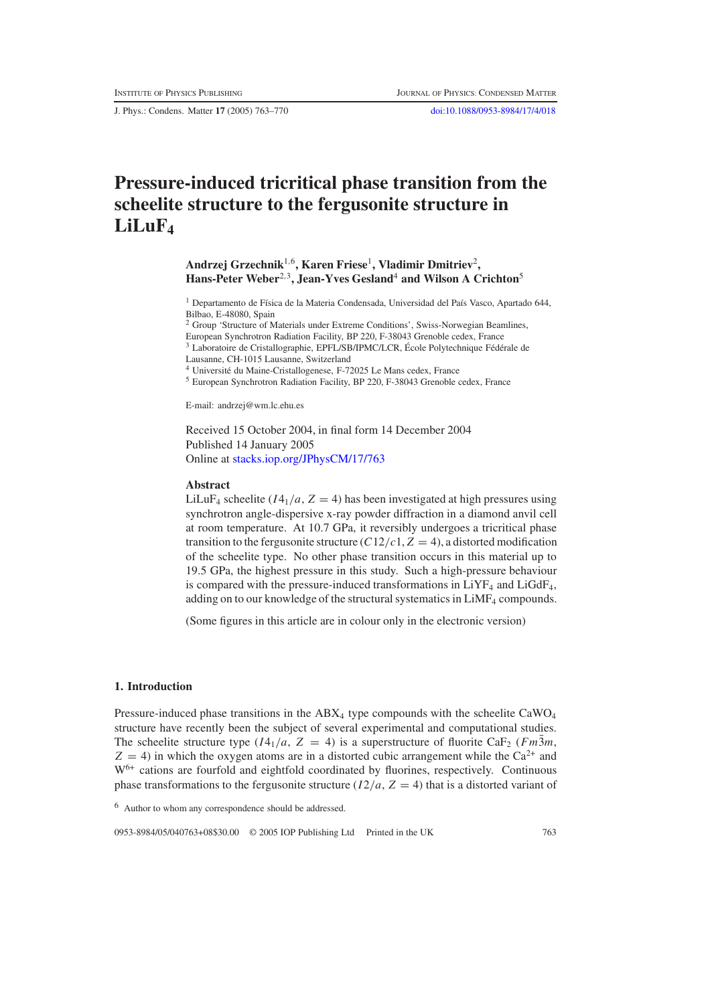J. Phys.: Condens. Matter **17** (2005) 763–770 [doi:10.1088/0953-8984/17/4/018](http://dx.doi.org/10.1088/0953-8984/17/4/018)

# **Pressure-induced tricritical phase transition from the scheelite structure to the fergusonite structure in LiLuF4**

## **Andrzej Grzechnik**1,6**, Karen Friese**1**, Vladimir Dmitriev**2**, Hans-Peter Weber**2,3**, Jean-Yves Gesland**<sup>4</sup> **and Wilson A Crichton**<sup>5</sup>

<sup>1</sup> Departamento de Física de la Materia Condensada, Universidad del País Vasco, Apartado 644, Bilbao, E-48080, Spain

<sup>2</sup> Group 'Structure of Materials under Extreme Conditions', Swiss-Norwegian Beamlines,

European Synchrotron Radiation Facility, BP 220, F-38043 Grenoble cedex, France <sup>3</sup> Laboratoire de Cristallographie, EPFL/SB/IPMC/LCR, École Polytechnique Fédérale de

Lausanne, CH-1015 Lausanne, Switzerland

<sup>4</sup> Université du Maine-Cristallogenese, F-72025 Le Mans cedex, France

<sup>5</sup> European Synchrotron Radiation Facility, BP 220, F-38043 Grenoble cedex, France

E-mail: andrzej@wm.lc.ehu.es

Received 15 October 2004, in final form 14 December 2004 Published 14 January 2005 Online at [stacks.iop.org/JPhysCM/17/763](http://stacks.iop.org/JPhysCM/17/763)

### **Abstract**

LiLuF<sub>4</sub> scheelite ( $I4_1/a$ ,  $Z = 4$ ) has been investigated at high pressures using synchrotron angle-dispersive x-ray powder diffraction in a diamond anvil cell at room temperature. At 10.7 GPa, it reversibly undergoes a tricritical phase transition to the fergusonite structure  $(C12/c1, Z = 4)$ , a distorted modification of the scheelite type. No other phase transition occurs in this material up to 19.5 GPa, the highest pressure in this study. Such a high-pressure behaviour is compared with the pressure-induced transformations in  $LiYF_4$  and  $LiGdF_4$ , adding on to our knowledge of the structural systematics in LiMF<sub>4</sub> compounds.

(Some figures in this article are in colour only in the electronic version)

## **1. Introduction**

Pressure-induced phase transitions in the  $ABX_4$  type compounds with the scheelite CaWO<sub>4</sub> structure have recently been the subject of several experimental and computational studies. The scheelite structure type  $(I4_1/a, Z = 4)$  is a superstructure of fluorite CaF<sub>2</sub> (*Fm*3 $m$ ,  $Z = 4$ ) in which the oxygen atoms are in a distorted cubic arrangement while the Ca<sup>2+</sup> and W6+ cations are fourfold and eightfold coordinated by fluorines, respectively. Continuous phase transformations to the fergusonite structure  $(I2/a, Z = 4)$  that is a distorted variant of

<sup>6</sup> Author to whom any correspondence should be addressed.

0953-8984/05/040763+08\$30.00 © 2005 IOP Publishing Ltd Printed in the UK 763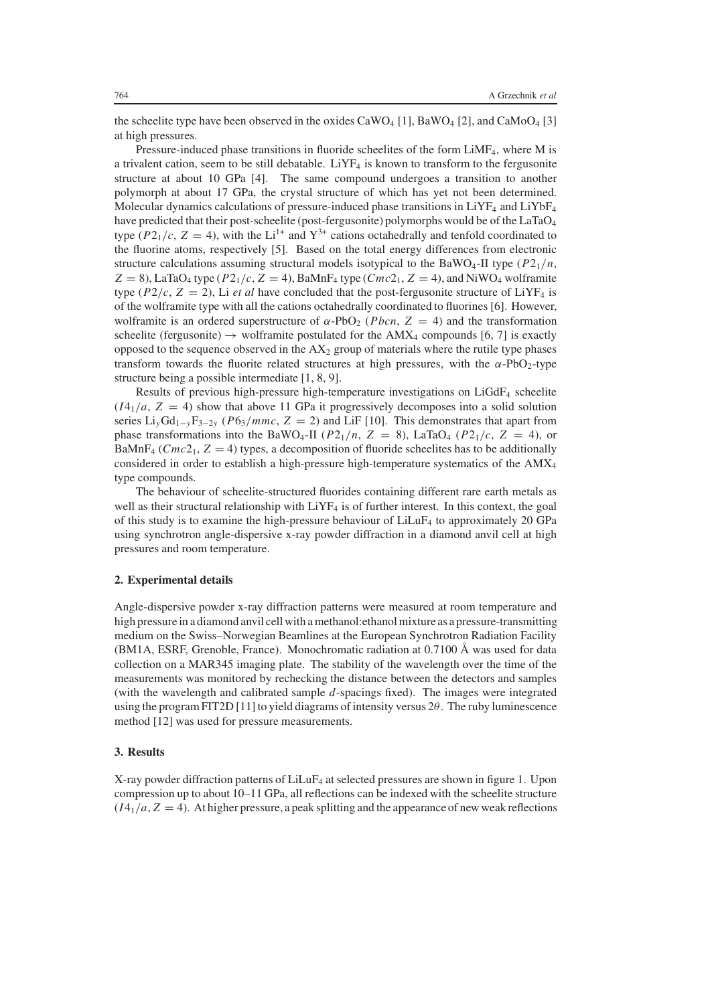the scheelite type have been observed in the oxides CaWO<sub>4</sub> [1], BaWO<sub>4</sub> [2], and CaMoO<sub>4</sub> [3] at high pressures.

Pressure-induced phase transitions in fluoride scheelites of the form LiMF<sub>4</sub>, where M is a trivalent cation, seem to be still debatable.  $LiYF_4$  is known to transform to the fergusonite structure at about 10 GPa [4]. The same compound undergoes a transition to another polymorph at about 17 GPa, the crystal structure of which has yet not been determined. Molecular dynamics calculations of pressure-induced phase transitions in  $LiYF_4$  and  $LiYbF_4$ have predicted that their post-scheelite (post-fergusonite) polymorphs would be of the LaTaO4 type ( $P2_1/c$ ,  $Z = 4$ ), with the Li<sup>1+</sup> and Y<sup>3+</sup> cations octahedrally and tenfold coordinated to the fluorine atoms, respectively [5]. Based on the total energy differences from electronic structure calculations assuming structural models isotypical to the BaWO<sub>4</sub>-II type  $(P2_1/n,$  $Z = 8$ ), LaTaO<sub>4</sub> type ( $P2_1/c$ ,  $Z = 4$ ), BaMnF<sub>4</sub> type ( $Cmc2_1$ ,  $Z = 4$ ), and NiWO<sub>4</sub> wolframite type ( $P2/c$ ,  $Z = 2$ ), Li *et al* have concluded that the post-fergusonite structure of LiYF<sub>4</sub> is of the wolframite type with all the cations octahedrally coordinated to fluorines [6]. However, wolframite is an ordered superstructure of  $\alpha$ -PbO<sub>2</sub> (*Pbcn*, Z = 4) and the transformation scheelite (fergusonite)  $\rightarrow$  wolframite postulated for the AMX<sub>4</sub> compounds [6, 7] is exactly opposed to the sequence observed in the  $AX<sub>2</sub>$  group of materials where the rutile type phases transform towards the fluorite related structures at high pressures, with the  $\alpha$ -PbO<sub>2</sub>-type structure being a possible intermediate [1, 8, 9].

Results of previous high-pressure high-temperature investigations on LiGdF4 scheelite  $(I4<sub>1</sub>/a, Z = 4)$  show that above 11 GPa it progressively decomposes into a solid solution series Li*y*Gd1−*<sup>y</sup>*F3−2*<sup>y</sup>* (*P*63/*mmc*, *Z* = 2) and LiF [10]. This demonstrates that apart from phase transformations into the BaWO<sub>4</sub>-II ( $P2_1/n$ ,  $Z = 8$ ), LaTaO<sub>4</sub> ( $P2_1/c$ ,  $Z = 4$ ), or BaMnF<sub>4</sub> ( $Cmc2_1$ ,  $Z = 4$ ) types, a decomposition of fluoride scheelites has to be additionally considered in order to establish a high-pressure high-temperature systematics of the  $AMX<sub>4</sub>$ type compounds.

The behaviour of scheelite-structured fluorides containing different rare earth metals as well as their structural relationship with LiYF<sub>4</sub> is of further interest. In this context, the goal of this study is to examine the high-pressure behaviour of  $LiLuF<sub>4</sub>$  to approximately 20 GPa using synchrotron angle-dispersive x-ray powder diffraction in a diamond anvil cell at high pressures and room temperature.

#### **2. Experimental details**

Angle-dispersive powder x-ray diffraction patterns were measured at room temperature and high pressure in a diamond anvil cell with a methanol: ethanol mixture as a pressure-transmitting medium on the Swiss–Norwegian Beamlines at the European Synchrotron Radiation Facility (BM1A, ESRF, Grenoble, France). Monochromatic radiation at 0.7100 Å was used for data collection on a MAR345 imaging plate. The stability of the wavelength over the time of the measurements was monitored by rechecking the distance between the detectors and samples (with the wavelength and calibrated sample *d*-spacings fixed). The images were integrated using the program FIT2D [11] to yield diagrams of intensity versus  $2\theta$ . The ruby luminescence method [12] was used for pressure measurements.

## **3. Results**

X-ray powder diffraction patterns of  $LiLuF_4$  at selected pressures are shown in figure 1. Upon compression up to about 10–11 GPa, all reflections can be indexed with the scheelite structure  $(I4<sub>1</sub>/a, Z = 4)$ . At higher pressure, a peak splitting and the appearance of new weak reflections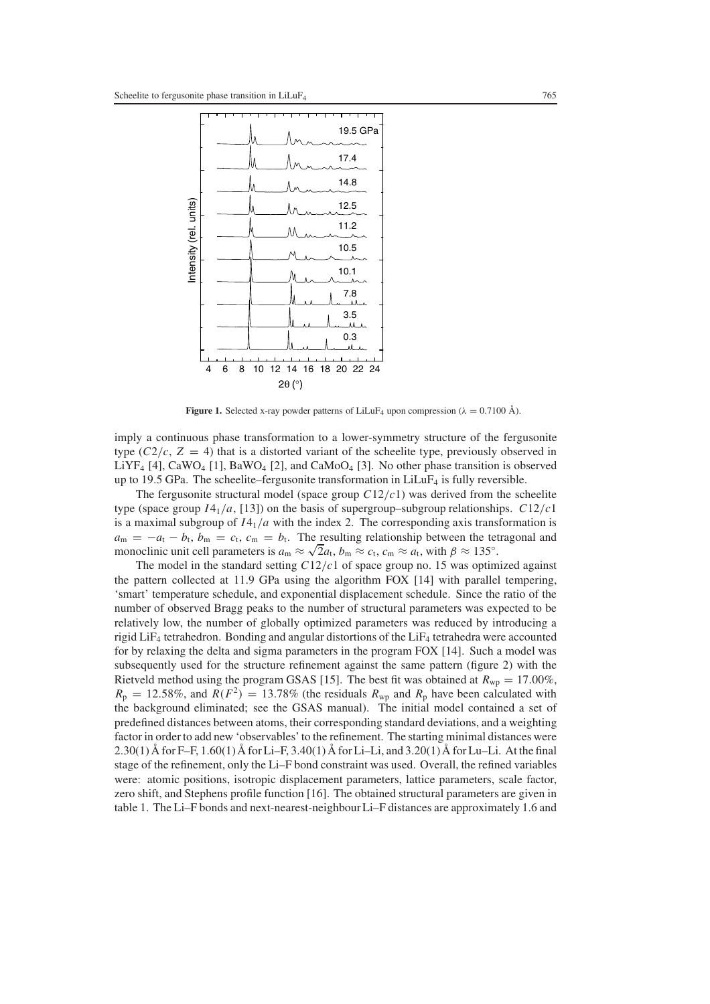

**Figure 1.** Selected x-ray powder patterns of LiLuF<sub>4</sub> upon compression ( $\lambda = 0.7100 \text{ Å}$ ).

imply a continuous phase transformation to a lower-symmetry structure of the fergusonite type  $(C^2/c, Z = 4)$  that is a distorted variant of the scheelite type, previously observed in LiYF<sub>4</sub> [4], CaWO<sub>4</sub> [1], BaWO<sub>4</sub> [2], and CaMoO<sub>4</sub> [3]. No other phase transition is observed up to 19.5 GPa. The scheelite–fergusonite transformation in  $LiLuF<sub>4</sub>$  is fully reversible.

The fergusonite structural model (space group  $C12/c1$ ) was derived from the scheelite type (space group  $I4_1/a$ , [13]) on the basis of supergroup–subgroup relationships.  $C12/c1$ is a maximal subgroup of  $I4_1/a$  with the index 2. The corresponding axis transformation is  $a_m = -a_t - b_t$ ,  $b_m = c_t$ ,  $c_m = b_t$ . The resulting relationship between the tetragonal and monoclinic unit cell parameters is  $a_m \approx \sqrt{2}a_t$ ,  $b_m \approx c_t$ ,  $c_m \approx a_t$ , with  $\beta \approx 135^\circ$ .

The model in the standard setting *C*12/*c*1 of space group no. 15 was optimized against the pattern collected at 11.9 GPa using the algorithm FOX [14] with parallel tempering, 'smart' temperature schedule, and exponential displacement schedule. Since the ratio of the number of observed Bragg peaks to the number of structural parameters was expected to be relatively low, the number of globally optimized parameters was reduced by introducing a rigid LiF<sub>4</sub> tetrahedron. Bonding and angular distortions of the LiF<sub>4</sub> tetrahedra were accounted for by relaxing the delta and sigma parameters in the program FOX [14]. Such a model was subsequently used for the structure refinement against the same pattern (figure 2) with the Rietveld method using the program GSAS [15]. The best fit was obtained at  $R_{wp} = 17.00\%$ ,  $R_p = 12.58\%$ , and  $R(F^2) = 13.78\%$  (the residuals  $R_{wp}$  and  $R_p$  have been calculated with the background eliminated; see the GSAS manual). The initial model contained a set of predefined distances between atoms, their corresponding standard deviations, and a weighting factor in order to add new 'observables' to the refinement. The starting minimal distances were 2.30(1) Å for F–F, 1.60(1) Å for Li–F, 3.40(1) Å for Li–Li, and 3.20(1) Å for Lu–Li. At the final stage of the refinement, only the Li–F bond constraint was used. Overall, the refined variables were: atomic positions, isotropic displacement parameters, lattice parameters, scale factor, zero shift, and Stephens profile function [16]. The obtained structural parameters are given in table 1. The Li–F bonds and next-nearest-neighbour Li–F distances are approximately 1.6 and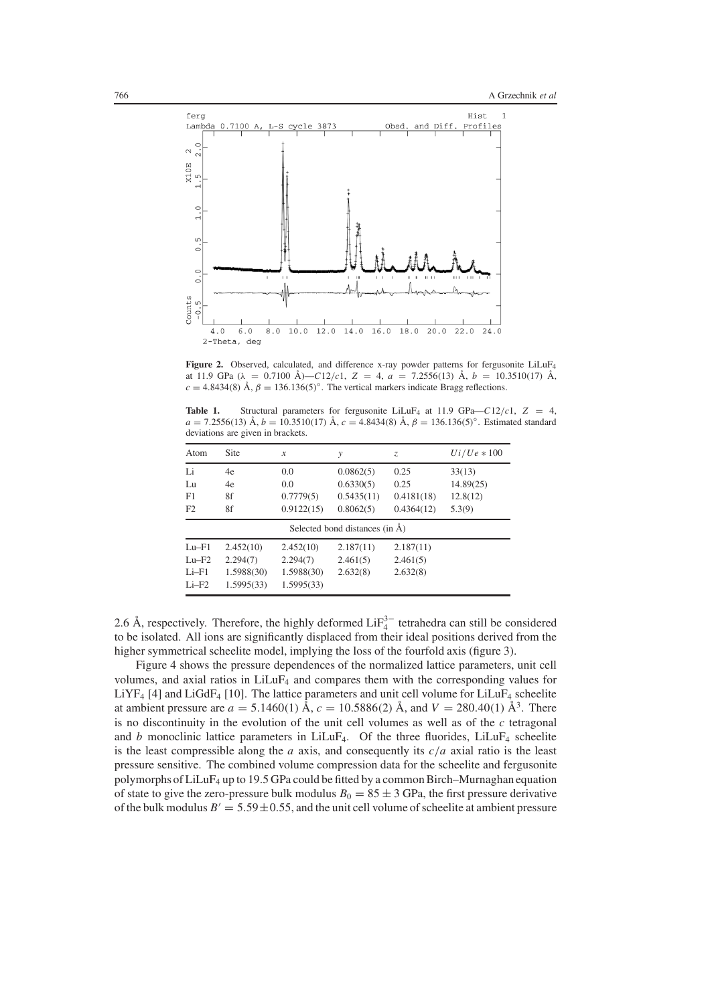

Figure 2. Observed, calculated, and difference x-ray powder patterns for fergusonite LiLuF<sub>4</sub> at 11.9 GPa (λ = 0.7100 Å)—*C*12/*c*1, *Z* = 4, *a* = 7.2556(13) Å, *b* = 10.3510(17) Å,  $c = 4.8434(8)$  Å,  $\beta = 136.136(5)°$ . The vertical markers indicate Bragg reflections.

**Table 1.** Structural parameters for fergusonite LiLuF<sub>4</sub> at 11.9 GPa– $C12/c1$ ,  $Z = 4$ ,  $a = 7.2556(13)$  Å,  $b = 10.3510(17)$  Å,  $c = 4.8434(8)$  Å,  $\beta = 136.136(5)°$ . Estimated standard deviations are given in brackets.

| Atom                                      | Site       | $\mathcal{X}$ | у          | Z.         | $Ui/ Ue * 100$ |  |  |  |
|-------------------------------------------|------------|---------------|------------|------------|----------------|--|--|--|
| Li                                        | 4e         | 0.0           | 0.0862(5)  | 0.25       | 33(13)         |  |  |  |
| Lu                                        | 4e         | 0.0           | 0.6330(5)  | 0.25       | 14.89(25)      |  |  |  |
| F1                                        | 8f         | 0.7779(5)     | 0.5435(11) | 0.4181(18) | 12.8(12)       |  |  |  |
| F2                                        | 8f         | 0.9122(15)    | 0.8062(5)  | 0.4364(12) | 5.3(9)         |  |  |  |
| Selected bond distances (in $\check{A}$ ) |            |               |            |            |                |  |  |  |
| $Lu-F1$                                   | 2.452(10)  | 2.452(10)     | 2.187(11)  | 2.187(11)  |                |  |  |  |
| $Lu-F2$                                   | 2.294(7)   | 2.294(7)      | 2.461(5)   | 2.461(5)   |                |  |  |  |
| $Li-F1$                                   | 1.5988(30) | 1.5988(30)    | 2.632(8)   | 2.632(8)   |                |  |  |  |
| $Li-F2$                                   | 1.5995(33) | 1.5995(33)    |            |            |                |  |  |  |

2.6 Å, respectively. Therefore, the highly deformed  $\text{LiF}_4^{3-}$  tetrahedra can still be considered to be isolated. All ions are significantly displaced from their ideal positions derived from the higher symmetrical scheelite model, implying the loss of the fourfold axis (figure 3).

Figure 4 shows the pressure dependences of the normalized lattice parameters, unit cell volumes, and axial ratios in LiLuF4 and compares them with the corresponding values for  $LiYF_4$  [4] and  $LiGdF_4$  [10]. The lattice parameters and unit cell volume for  $LiLuF_4$  scheelite at ambient pressure are  $a = 5.1460(1)$  Å,  $c = 10.5886(2)$  Å, and  $V = 280.40(1)$  Å<sup>3</sup>. There is no discontinuity in the evolution of the unit cell volumes as well as of the *c* tetragonal and *b* monoclinic lattice parameters in LiLuF<sub>4</sub>. Of the three fluorides, LiLuF<sub>4</sub> scheelite is the least compressible along the *a* axis, and consequently its  $c/a$  axial ratio is the least pressure sensitive. The combined volume compression data for the scheelite and fergusonite polymorphs of LiLuF4 up to 19.5 GPa could be fitted by a common Birch–Murnaghan equation of state to give the zero-pressure bulk modulus  $B_0 = 85 \pm 3$  GPa, the first pressure derivative of the bulk modulus  $B' = 5.59 \pm 0.55$ , and the unit cell volume of scheelite at ambient pressure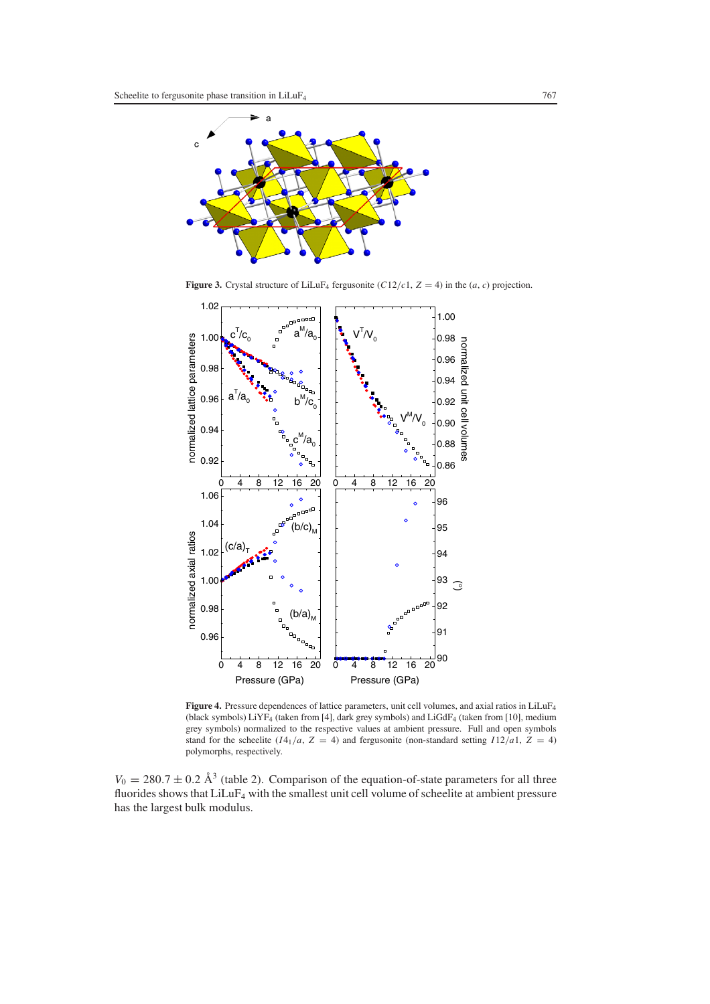

**Figure 3.** Crystal structure of LiLuF<sub>4</sub> fergusonite ( $C12/c1$ ,  $Z = 4$ ) in the (*a*, *c*) projection.



Figure 4. Pressure dependences of lattice parameters, unit cell volumes, and axial ratios in LiLuF<sub>4</sub> (black symbols) LiYF4 (taken from [4], dark grey symbols) and LiGdF4 (taken from [10], medium grey symbols) normalized to the respective values at ambient pressure. Full and open symbols stand for the scheelite  $(I4_1/a, Z = 4)$  and fergusonite (non-standard setting  $I12/a1, Z = 4$ ) polymorphs, respectively.

 $V_0 = 280.7 \pm 0.2$  Å<sup>3</sup> (table 2). Comparison of the equation-of-state parameters for all three fluorides shows that LiLuF4 with the smallest unit cell volume of scheelite at ambient pressure has the largest bulk modulus.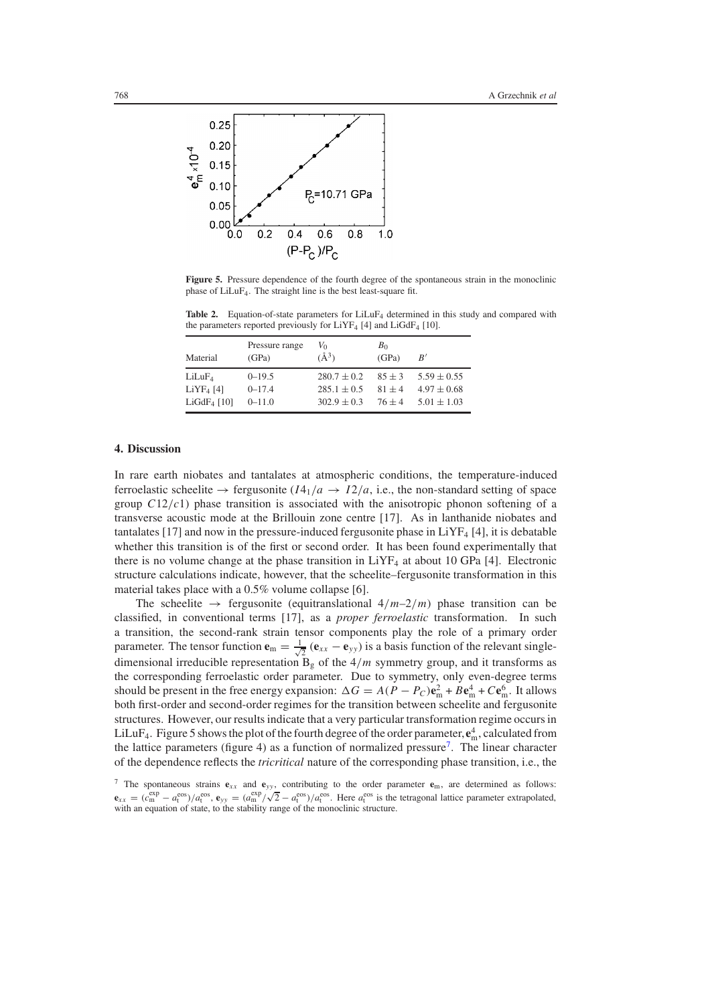

**Figure 5.** Pressure dependence of the fourth degree of the spontaneous strain in the monoclinic phase of LiLuF4. The straight line is the best least-square fit.

Table 2. Equation-of-state parameters for LiLuF<sub>4</sub> determined in this study and compared with the parameters reported previously for  $LiYF_4$  [4] and  $LiGdF_4$  [10].

| Material           | Pressure range<br>(GPa) | Vo<br>$(\AA^3)$ | B <sub>0</sub><br>(GPa) | B'              |
|--------------------|-------------------------|-----------------|-------------------------|-----------------|
| LiLuF <sub>4</sub> | $0 - 19.5$              | $280.7 \pm 0.2$ | $85 + 3$                | $5.59 \pm 0.55$ |
| $LiYF4$ [4]        | $0 - 17.4$              | $285.1 \pm 0.5$ | $81 + 4$                | $4.97 \pm 0.68$ |
| $LiGdF4$ [10]      | $0 - 11.0$              | $302.9 \pm 0.3$ | $76 + 4$                | $5.01 \pm 1.03$ |

## **4. Discussion**

In rare earth niobates and tantalates at atmospheric conditions, the temperature-induced ferroelastic scheelite  $\rightarrow$  fergusonite  $(I4_1/a \rightarrow I2/a$ , i.e., the non-standard setting of space group *C*12/*c*1) phase transition is associated with the anisotropic phonon softening of a transverse acoustic mode at the Brillouin zone centre [17]. As in lanthanide niobates and tantalates [17] and now in the pressure-induced fergusonite phase in  $LiYF<sub>4</sub>$  [4], it is debatable whether this transition is of the first or second order. It has been found experimentally that there is no volume change at the phase transition in  $LiYF_4$  at about 10 GPa [4]. Electronic structure calculations indicate, however, that the scheelite–fergusonite transformation in this material takes place with a 0.5% volume collapse [6].

The scheelite  $\rightarrow$  fergusonite (equitranslational  $4/m-2/m$ ) phase transition can be classified, in conventional terms [17], as a *proper ferroelastic* transformation. In such a transition, the second-rank strain tensor components play the role of a primary order parameter. The tensor function  $\mathbf{e}_m = \frac{1}{\sqrt{2}} (\mathbf{e}_{xx} - \mathbf{e}_{yy})$  is a basis function of the relevant singledimensional irreducible representation  $\overline{B_g}$  of the  $4/m$  symmetry group, and it transforms as the corresponding ferroelastic order parameter. Due to symmetry, only even-degree terms should be present in the free energy expansion:  $\Delta G = A(P - P_C)\mathbf{e}_{\text{m}}^2 + B\mathbf{e}_{\text{m}}^4 + C\mathbf{e}_{\text{m}}^6$ . It allows both first-order and second-order regimes for the transition between scheelite and fergusonite structures. However, our results indicate that a very particular transformation regime occurs in LiLuF<sub>4</sub>. Figure 5 shows the plot of the fourth degree of the order parameter,  $e_m^4$ , calculated from the lattice parameters (figure 4) as a function of normalized pressure<sup>7</sup>. The linear character of the dependence reflects the *tricritical* nature of the corresponding phase transition, i.e., the

<span id="page-5-0"></span><sup>&</sup>lt;sup>7</sup> The spontaneous strains  $e_{xx}$  and  $e_{yy}$ , contributing to the order parameter  $e_m$ , are determined as follows:  ${\bf e}_{xx} = (c_m^{\text{exp}} - a_t^{\text{cos}})/a_t^{\text{cos}}, {\bf e}_{yy} = (a_m^{\text{exp}}/\sqrt{2} - a_t^{\text{cos}})/a_t^{\text{cos}}$ . Here  $a_t^{\text{cos}}$  is the tetragonal lattice parameter extrapolated, with an equation of state, to the stability range of the monoclinic structure.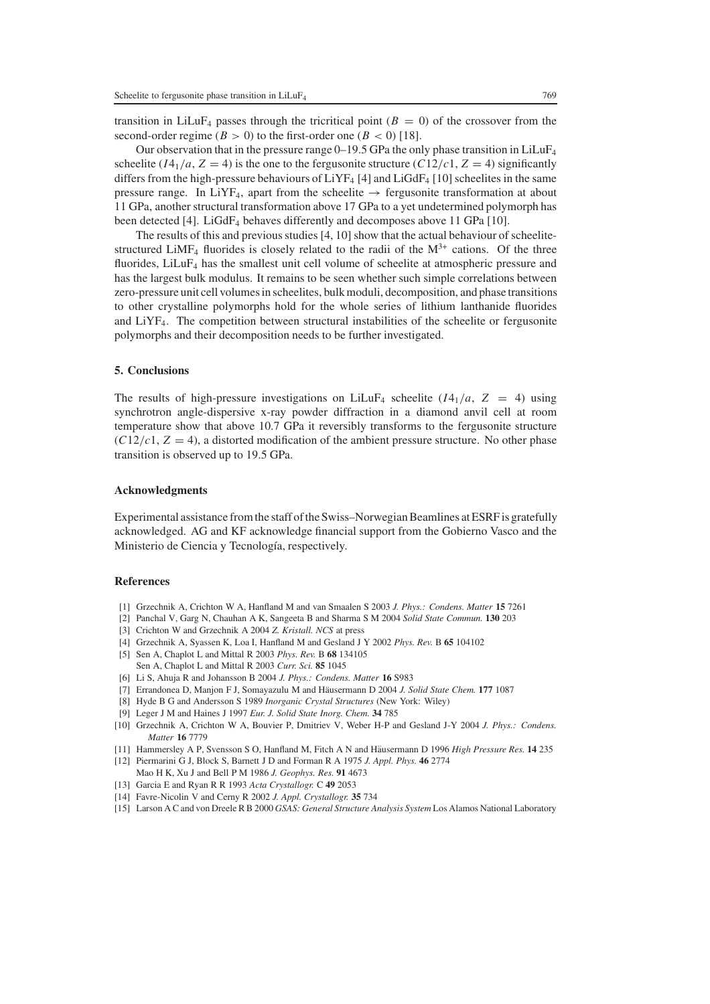transition in LiLuF<sub>4</sub> passes through the tricritical point ( $B = 0$ ) of the crossover from the second-order regime ( $B > 0$ ) to the first-order one ( $B < 0$ ) [18].

Our observation that in the pressure range  $0-19.5$  GPa the only phase transition in LiLuF<sub>4</sub> scheelite  $(I4_1/a, Z = 4)$  is the one to the fergusonite structure  $(C12/c1, Z = 4)$  significantly differs from the high-pressure behaviours of  $LiYF_4$  [4] and  $LiGdF_4$  [10] scheelites in the same pressure range. In LiYF<sub>4</sub>, apart from the scheelite  $\rightarrow$  fergusonite transformation at about 11 GPa, another structural transformation above 17 GPa to a yet undetermined polymorph has been detected [4]. LiGdF<sub>4</sub> behaves differently and decomposes above 11 GPa [10].

The results of this and previous studies [4, 10] show that the actual behaviour of scheelitestructured LiMF<sub>4</sub> fluorides is closely related to the radii of the  $M^{3+}$  cations. Of the three fluorides,  $LiLuF<sub>4</sub>$  has the smallest unit cell volume of scheelite at atmospheric pressure and has the largest bulk modulus. It remains to be seen whether such simple correlations between zero-pressure unit cell volumes in scheelites, bulk moduli, decomposition, and phase transitions to other crystalline polymorphs hold for the whole series of lithium lanthanide fluorides and  $LiYF<sub>4</sub>$ . The competition between structural instabilities of the scheelite or fergusonite polymorphs and their decomposition needs to be further investigated.

### **5. Conclusions**

The results of high-pressure investigations on LiLuF<sub>4</sub> scheelite  $(I4_1/a, Z = 4)$  using synchrotron angle-dispersive x-ray powder diffraction in a diamond anvil cell at room temperature show that above 10.7 GPa it reversibly transforms to the fergusonite structure  $(C12/c1, Z = 4)$ , a distorted modification of the ambient pressure structure. No other phase transition is observed up to 19.5 GPa.

#### **Acknowledgments**

Experimental assistance from the staff of the Swiss–Norwegian Beamlines at ESRF is gratefully acknowledged. AG and KF acknowledge financial support from the Gobierno Vasco and the Ministerio de Ciencia y Tecnología, respectively.

## **References**

- [1] Grzechnik A, Crichton W A, Hanfland M and van Smaalen S 2003 *J. Phys.: Condens. Matter* **15** 7261
- [2] Panchal V, Garg N, Chauhan A K, Sangeeta B and Sharma S M 2004 *Solid State Commun.* **130** 203
- [3] Crichton W and Grzechnik A 2004 *Z. Kristall. NCS* at press
- [4] Grzechnik A, Syassen K, Loa I, Hanfland M and Gesland J Y 2002 *Phys. Rev.* B **65** 104102
- [5] Sen A, Chaplot L and Mittal R 2003 *Phys. Rev.* B **68** 134105 Sen A, Chaplot L and Mittal R 2003 *Curr. Sci.* **85** 1045
- [6] Li S, Ahuja R and Johansson B 2004 *J. Phys.: Condens. Matter* **16** S983
- [7] Errandonea D, Manjon F J, Somayazulu M and Häusermann D 2004 *J. Solid State Chem.* 177 1087
- [8] Hyde B G and Andersson S 1989 *Inorganic Crystal Structures* (New York: Wiley)
- [9] Leger J M and Haines J 1997 *Eur. J. Solid State Inorg. Chem.* **34** 785
- [10] Grzechnik A, Crichton W A, Bouvier P, Dmitriev V, Weber H-P and Gesland J-Y 2004 *J. Phys.: Condens. Matter* **16** 7779
- [11] Hammersley A P, Svensson S O, Hanfland M, Fitch A N and Häusermann D 1996 High Pressure Res. 14 235
- [12] Piermarini G J, Block S, Barnett J D and Forman R A 1975 *J. Appl. Phys.* **46** 2774 Mao H K, Xu J and Bell P M 1986 *J. Geophys. Res.* **91** 4673
- [13] Garcia E and Ryan R R 1993 *Acta Crystallogr.* C **49** 2053
- [14] Favre-Nicolin V and Cerny R 2002 *J. Appl. Crystallogr.* **35** 734
- [15] Larson A C and von Dreele R B 2000 *GSAS: General Structure Analysis System* Los Alamos National Laboratory